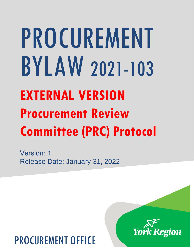# PROCUREMENT BYLAW 2021-103 **EXTERNAL VERSION Procurement Review Committee (PRC) Protocol**

Version: 1 Release Date: January 31, 2022

# PROCUREMENT OFFICE

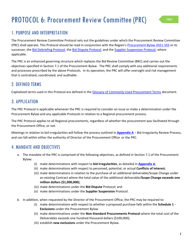# PROTOCOL 6: Procurement Review Committee (PRC)

# 1. PURPOSE AND INTERPRETATION

The Procurement Review Committee Protocol sets out the guidelines under which the Procurement Review Committee (PRC) shall operate. This Protocol should be read in conjunction with the Region's Procurement Bylaw 2021-103 or its successor, the Bid Debriefing Protocol, the Bid Dispute Protocol, and the [Supplier Suspension Protocol,](#page-4-0) where applicable.

 objectives specified in Section 7.1 of the Procurement Bylaw. The PRC shall comply with any additional requirements The PRC is an enhanced governing structure which replaces the Bid Review Committee (BRC) and carries out the and processes prescribed by the above Protocols. In its operation, the PRC will offer oversight and risk management that is centralized, coordinated, and auditable.

## 2. DEFINED TERMS

Capitalized terms used in this Protocol are defined in the [Glossary of Commonly Used Procurement Terms](http://mynetwork.york.ca/edocs.asp?id=13106403) document.

## 3. APPLICATION

 The PRC Protocol is applicable whenever the PRC is required to consider an issue or make a determination under the Procurement Bylaw and any applicable Protocols in relation to a Regional procurement process.

The PRC Protocol applies to all Regional procurements, regardless of whether the procurement was facilitated through the Procurement Office, or not.

Meetings in relation to bid irregularities will follow the process outlined in **[Appendix A](#page-3-0)** – Bid Irregularity Review Process, and can fall within either the authority of Director of the Procurement Office or the PRC.

### 4. MANDATE AND OBJECTIVES

- a. The mandate of the PRC is comprised of the following objectives, as defined in Section 7.1 of the Procurement Bylaw:
	- (i) make determinations with respect to **bid irregularities**, as detailed in **[Appendix A](#page-3-0)**;
	- (ii) make determinations with respect to perceived, potential, or actual **Conflicts of Interest**;
	- (iii) make determinations in relation to the purchase of an additional deliverable/Scope Change under an existing Contract where the total value of the additional deliverable/**Scope Change exceeds one million dollars (\$1,000,000)**;
	- (iv) make determinations under the **Bid Dispute** Protocol; and
	- (v) make determinations under the **Supplier Suspension** Protocol.
- b. In addition, when requested by the Director of the Procurement Office, the PRC may be required to:
	- (i) make determinations with respect to whether a proposed purchase falls within the **Schedule 1 - Exclusions** under the Procurement Bylaw
	- (ii) make determinations under the **Non-Standard Procurements Protocol** where the total cost of the Deliverables exceeds one hundred thousand dollars (\$100,000);
	- (iii) establish **new exclusions** under the Procurement Bylaw.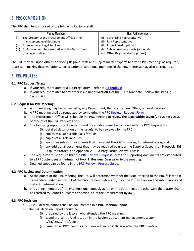# 5. PRC COMPOSITION

The PRC shall be composed of the following Regional staff:

|       | <b>Voting Members</b>                           | <b>Non-Voting Members</b>              |
|-------|-------------------------------------------------|----------------------------------------|
|       | The Director of the Procurement Office or their | <b>Purchasing Representative</b>       |
|       | management level designate                      | Risk Representative<br>(ii)            |
| (ii)  | A Lawyer from Legal Services                    | (iii) Project Lead (optional)          |
| (iii) | A Management Representative of the Department   | (iv) Subject matter experts (optional) |
|       | (manager or director)                           | Other Regional staff (optional)<br>(v) |

The PRC may call upon other non-voting Regional staff and subject matter experts to attend PRC meetings as required, to assist in making determinations. Participation of additional members in the PRC meetings may also be required.

## 6. PRC PROCESS

#### **6.1 PRC Request Triage**

- a. If your request related to a Bid Irregularity refer to **[Appendix A](#page-3-0)**
- b. If your request relates to any other issue under **Section 4** of the PRC's Mandate follow the steps in Section 6.2.

#### **6.2 Request for PRC Meeting**

- a. A PRC meeting may be requested by any Department, the Procurement Office, or Legal Services.
- b. A PRC meeting shall be requested by completing the PRC Review [Request Form.](https://forms.office.com/Pages/ResponsePage.aspx?id=a-nB5Qs8mkSTC49aj271YqpSzoHQXiVCsQTytVdgRHVUMjA3UDlKSElKOVdOV0lETlM3NFJXSTk0Uy4u)
- c. The Procurement Office will schedule the PRC meeting to review the issue **within seven (7) Business Days**  of receipt of the PRC Request Form.
- d. The following supporting documents and information must be included with the PRC Request Form:
	- (i) detailed description of the issue(s) to be reviewed by the PRC;
		- (ii) copies of all applicable Calls for Bids;
		- (iii) copies of all relevant Bids;
	- (iv) any other relevant documents that may assist the PRC in making its determination; and
	- (v) any additional documents that may be required by under the Supplier Suspension Protocol, Bid Dispute Protocol and Appendix A – Bid Irregularity Review Process.
- e. The requestor must ensure that the PRC Review [Request Form](https://forms.office.com/Pages/ResponsePage.aspx?id=a-nB5Qs8mkSTC49aj271YqpSzoHQXiVCsQTytVdgRHVUMjA3UDlKSElKOVdOV0lETlM3NFJXSTk0Uy4u) and supporting documents are distributed to all PRC attendees a **minimum of two (2) Business Days** prior to the meeting.
- f. Detailed steps can be found in the PRC Review [Process Guide.](http://mynetwork.york.ca/edocs.asp?id=13662980)

#### **6.2 PRC Review and Determination**

- a. At the outset of the PRC meeting, the PRC will determine whether the issue referred to the PRC falls within its mandate under Section 7.1 of the Procurement Bylaw and, if so, the PRC will review the submissions and make its determination.
- b. The voting members of the PRC must unanimously agree on the determination, otherwise the matter shall be referred to Council pursuant to Section 7.4 of the Procurement Bylaw.

#### **6.3 PRC Decisions**

- a. All PRC determinations shall be documented in a **PRC Decision Report**.
- b. The PRC Decision Report should be:
	- (i) prepared by the lawyer who attended the PRC meeting;
	- (ii) saved in a centralized location in the Region's document management system **L/34/DRCL/PRC/20xx**;
	- (iii) issued to all PRC meeting attendees within ten (10) Days after the PRC meeting.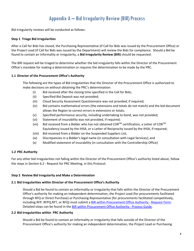# Appendix A – Bid Irregularity Review (BIR) Process

<span id="page-3-0"></span>Bid irregularity reviews will be conducted as follows:

#### **Step 1 Triage Bid Irregularities**

After a Call for Bids has closed, the Purchasing Representative (if Call for Bids was issued by the Procurement Office) or the Project Lead (if Call for Bids was issued by the Department) will review the Bids for compliance. Should a Bid be found to contain an informality or irregularity, a **Bid Irregularity Review (BIR)** should be requested.

The BIR request will be triaged to determine whether the bid irregularity falls within the Director of the Procurement Office's mandate for making a determination or requires the determination to be made by the PRC.

#### **1.1 Director of the Procurement Office's Authority**

The following are the types of Bid irregularities that the Director of the Procurement Office is authorized to make decisions on without obtaining the PRC's determination:

- (i) Bid received after the closing time specified in the Call for Bids;
- (ii) Specified Bid Deposit was not provided;
- (iii) Cloud Security Assessment Questionnaire was not provided, if required;
- (iv) Bid contains mathematical errors (the extensions and totals do not match) and the bid document allows the Region to correct errors in extensions or totals;
- (v) Specified performance security, including undertaking to bond, was not provided;
- (vi) Statement of insurability was not provided, if required;
- (vii) Bid received from a Bidder who has not obtained COR<sup>TM</sup> certification, a Letter of COR<sup>TM</sup> Equivalency issued by the IHSA, or a Letter of Reciprocity issued by the IHSA, if required;
- (viii) Bid received from a Bidder on the Suspended Suppliers List;
- (ix) Discrepancies in a Bidder's legal name (in consultation with Legal Services); and
- (x) Modified statement of insurability (in consultation with the Controllership Office)

#### **1.2 PRC Authority**

For any other bid irregularities not falling within the Director of the Procurement Office's authority listed above, follow the steps in Section 6.2 - Request for PRC Meeting, in this Protocol.

#### **Step 2 Review Bid Irregularity and Make a Determination**

#### **2.1 Bid Irregularities within Director of the Procurement Office's Authority**

Should a Bid be found to contain an informality or irregularity that falls within the Director of the Procurement Office's authority for making an independent determination, the Project Lead (for procurements facilitated through RFQ or Direct Purchase) or Purchasing Representative (for procurements facilitated competitively, including RFP, RFPQ,RFT, or RFQ) must submit a [BIR within Procurement Office Authority -](https://forms.office.com/r/S3187fYnHf) Request Form. Detailed steps can be found in the [BIR within Procurement Office Authority -](http://mynetwork.york.ca/edocs.asp?id=13636272) Process Guide.

#### **2.2 Bid Irregularities within PRC Authority**

Should a Bid be found to contain an informality or irregularity that falls outside of the Director of the Procurement Office's authority for making an independent determination, the Project Lead or Purchasing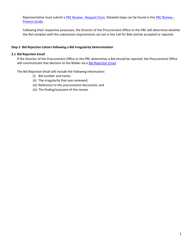Representative must submit a PRC Review - [Request Form.](https://forms.office.com/r/9h67miEstj) Detailed steps can be found in the [PRC Review -](http://mynetwork.york.ca/edocs.asp?id=13662980) [Process Guide.](http://mynetwork.york.ca/edocs.asp?id=13662980)

Following their respective processes, the Director of the Procurement Office or the PRC will determine whether the Bid complies with the submission requirements set out in the Call for Bids and be accepted or rejected.

#### **Step 3 Bid Rejection Letters following a Bid Irregularity Determination**

#### **3.1 Bid Rejection Email**

If the Director of the Procurement Office or the PRC determines a Bid should be rejected, the Procurement Office will communicate that decision to the Bidder via a [Bid Rejection Email.](https://ykregion.sharepoint.com/:u:/r/teams/COL_NewProcurementBylawDeploymentPlanProject/Templates/Bid%20Irregularity%20Rejection%20Email%20Template.oft?csf=1&web=1&e=ubRp5M&isSPOFile=1)

The Bid Rejection Email will include the following information:

- (i) Bid number and name;
- (ii) The irregularity that was reviewed;
- (iii) Reference to the procurement document; and
- <span id="page-4-0"></span>(iv) The finding/outcome of the review.